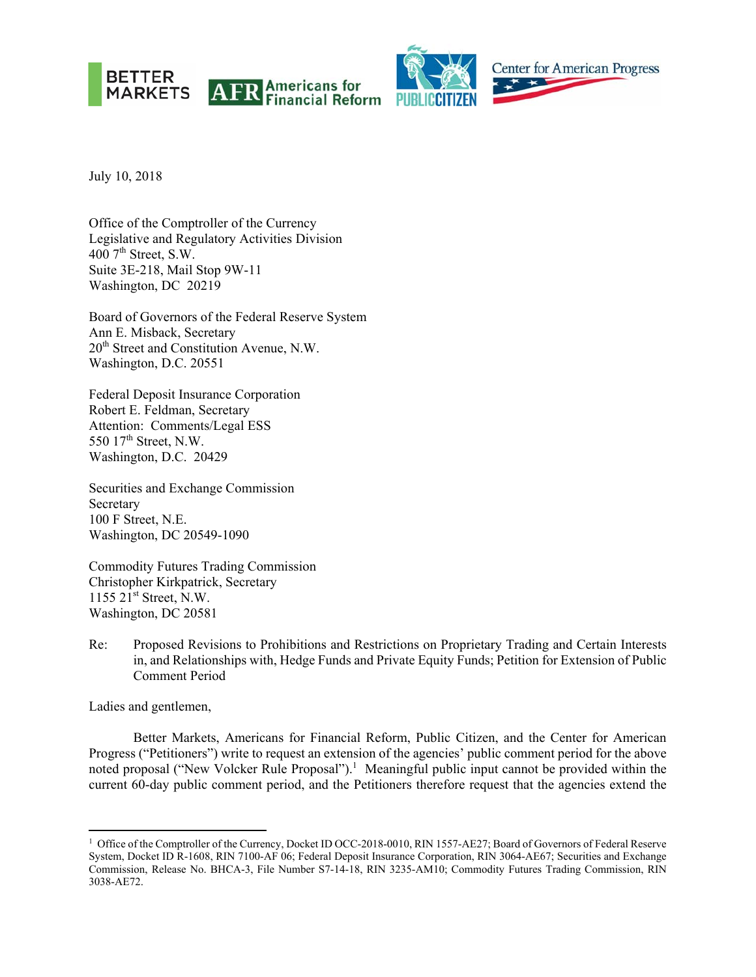





July 10, 2018

Office of the Comptroller of the Currency Legislative and Regulatory Activities Division  $400$  7<sup>th</sup> Street, S.W. Suite 3E-218, Mail Stop 9W-11 Washington, DC 20219

Board of Governors of the Federal Reserve System Ann E. Misback, Secretary 20th Street and Constitution Avenue, N.W. Washington, D.C. 20551

Federal Deposit Insurance Corporation Robert E. Feldman, Secretary Attention: Comments/Legal ESS 550 17<sup>th</sup> Street, N.W. Washington, D.C. 20429

Securities and Exchange Commission Secretary 100 F Street, N.E. Washington, DC 20549-1090

Commodity Futures Trading Commission Christopher Kirkpatrick, Secretary 1155  $21^{st}$  Street, N.W. Washington, DC 20581

Re: Proposed Revisions to Prohibitions and Restrictions on Proprietary Trading and Certain Interests in, and Relationships with, Hedge Funds and Private Equity Funds; Petition for Extension of Public Comment Period

Ladies and gentlemen,

Better Markets, Americans for Financial Reform, Public Citizen, and the Center for American Progress ("Petitioners") write to request an extension of the agencies' public comment period for the above noted proposal ("New Volcker Rule Proposal").<sup>1</sup> Meaningful public input cannot be provided within the current 60-day public comment period, and the Petitioners therefore request that the agencies extend the

<sup>&</sup>lt;sup>1</sup> Office of the Comptroller of the Currency, Docket ID OCC-2018-0010, RIN 1557-AE27; Board of Governors of Federal Reserve System, Docket ID R-1608, RIN 7100-AF 06; Federal Deposit Insurance Corporation, RIN 3064-AE67; Securities and Exchange Commission, Release No. BHCA-3, File Number S7-14-18, RIN 3235-AM10; Commodity Futures Trading Commission, RIN 3038-AE72.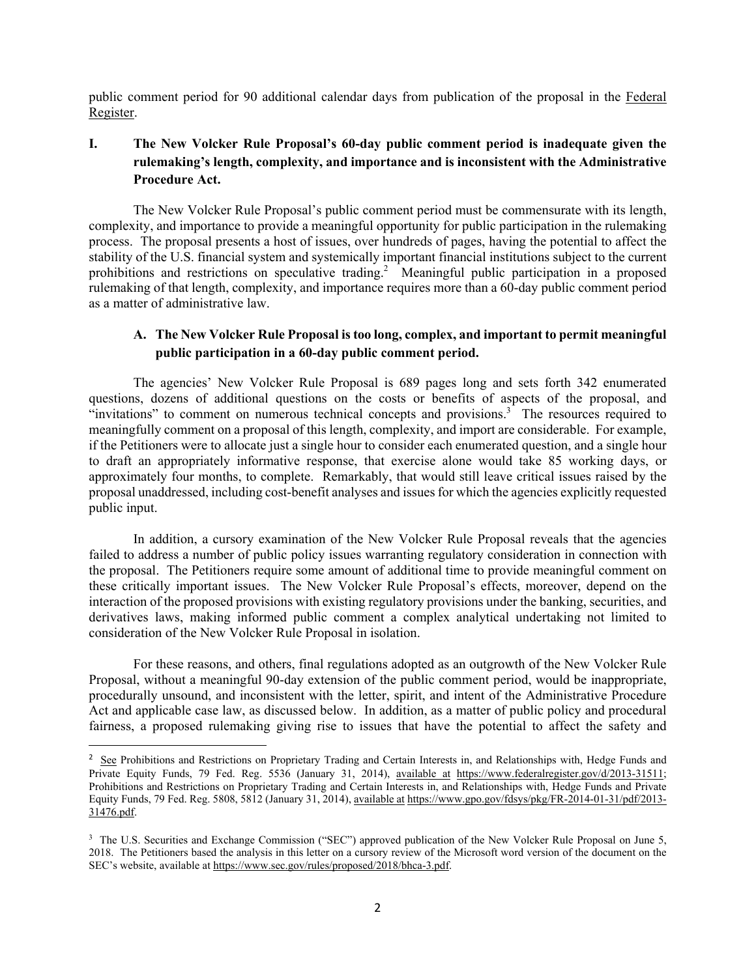public comment period for 90 additional calendar days from publication of the proposal in the Federal Register.

# **I. The New Volcker Rule Proposal's 60-day public comment period is inadequate given the rulemaking's length, complexity, and importance and is inconsistent with the Administrative Procedure Act.**

The New Volcker Rule Proposal's public comment period must be commensurate with its length, complexity, and importance to provide a meaningful opportunity for public participation in the rulemaking process. The proposal presents a host of issues, over hundreds of pages, having the potential to affect the stability of the U.S. financial system and systemically important financial institutions subject to the current prohibitions and restrictions on speculative trading.<sup>2</sup> Meaningful public participation in a proposed rulemaking of that length, complexity, and importance requires more than a 60-day public comment period as a matter of administrative law.

### **A. The New Volcker Rule Proposal is too long, complex, and important to permit meaningful public participation in a 60-day public comment period.**

The agencies' New Volcker Rule Proposal is 689 pages long and sets forth 342 enumerated questions, dozens of additional questions on the costs or benefits of aspects of the proposal, and "invitations" to comment on numerous technical concepts and provisions.<sup>3</sup> The resources required to meaningfully comment on a proposal of this length, complexity, and import are considerable. For example, if the Petitioners were to allocate just a single hour to consider each enumerated question, and a single hour to draft an appropriately informative response, that exercise alone would take 85 working days, or approximately four months, to complete. Remarkably, that would still leave critical issues raised by the proposal unaddressed, including cost-benefit analyses and issues for which the agencies explicitly requested public input.

In addition, a cursory examination of the New Volcker Rule Proposal reveals that the agencies failed to address a number of public policy issues warranting regulatory consideration in connection with the proposal. The Petitioners require some amount of additional time to provide meaningful comment on these critically important issues. The New Volcker Rule Proposal's effects, moreover, depend on the interaction of the proposed provisions with existing regulatory provisions under the banking, securities, and derivatives laws, making informed public comment a complex analytical undertaking not limited to consideration of the New Volcker Rule Proposal in isolation.

For these reasons, and others, final regulations adopted as an outgrowth of the New Volcker Rule Proposal, without a meaningful 90-day extension of the public comment period, would be inappropriate, procedurally unsound, and inconsistent with the letter, spirit, and intent of the Administrative Procedure Act and applicable case law, as discussed below. In addition, as a matter of public policy and procedural fairness, a proposed rulemaking giving rise to issues that have the potential to affect the safety and

<sup>&</sup>lt;sup>2</sup> See Prohibitions and Restrictions on Proprietary Trading and Certain Interests in, and Relationships with, Hedge Funds and Private Equity Funds, 79 Fed. Reg. 5536 (January 31, 2014), available at https://www.federalregister.gov/d/2013-31511; Prohibitions and Restrictions on Proprietary Trading and Certain Interests in, and Relationships with, Hedge Funds and Private Equity Funds, 79 Fed. Reg. 5808, 5812 (January 31, 2014), available at https://www.gpo.gov/fdsys/pkg/FR-2014-01-31/pdf/2013- 31476.pdf.

<sup>&</sup>lt;sup>3</sup> The U.S. Securities and Exchange Commission ("SEC") approved publication of the New Volcker Rule Proposal on June 5, 2018. The Petitioners based the analysis in this letter on a cursory review of the Microsoft word version of the document on the SEC's website, available at https://www.sec.gov/rules/proposed/2018/bhca-3.pdf.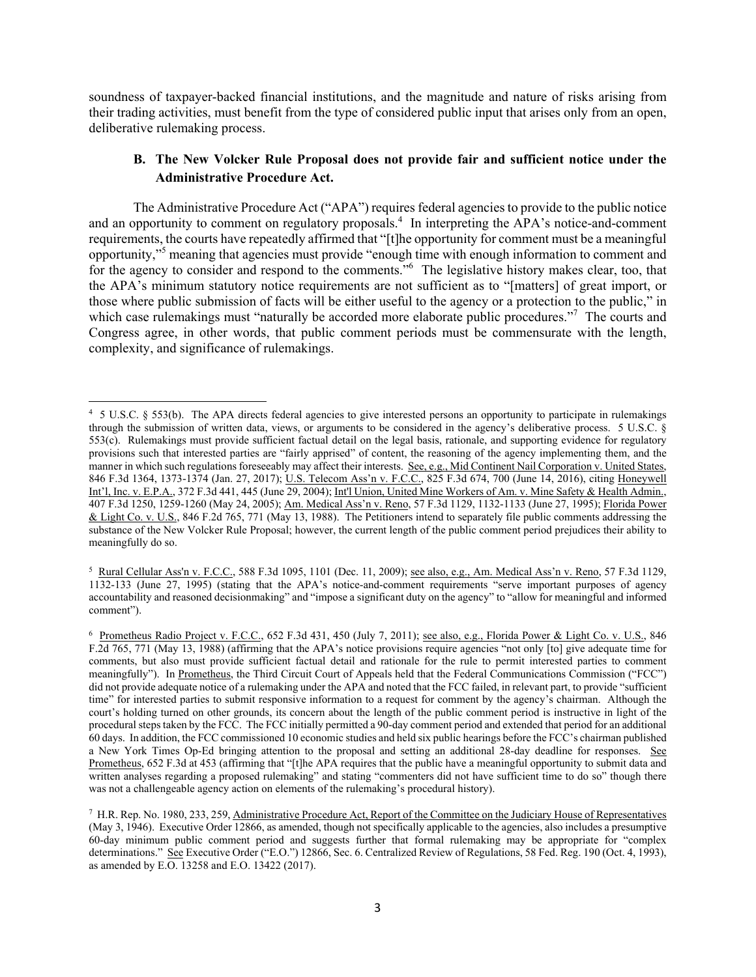soundness of taxpayer-backed financial institutions, and the magnitude and nature of risks arising from their trading activities, must benefit from the type of considered public input that arises only from an open, deliberative rulemaking process.

#### **B. The New Volcker Rule Proposal does not provide fair and sufficient notice under the Administrative Procedure Act.**

The Administrative Procedure Act ("APA") requires federal agencies to provide to the public notice and an opportunity to comment on regulatory proposals.<sup>4</sup> In interpreting the APA's notice-and-comment requirements, the courts have repeatedly affirmed that "[t]he opportunity for comment must be a meaningful opportunity,"5 meaning that agencies must provide "enough time with enough information to comment and for the agency to consider and respond to the comments."<sup>6</sup> The legislative history makes clear, too, that the APA's minimum statutory notice requirements are not sufficient as to "[matters] of great import, or those where public submission of facts will be either useful to the agency or a protection to the public," in which case rulemakings must "naturally be accorded more elaborate public procedures."<sup>7</sup> The courts and Congress agree, in other words, that public comment periods must be commensurate with the length, complexity, and significance of rulemakings.

 4 5 U.S.C. § 553(b). The APA directs federal agencies to give interested persons an opportunity to participate in rulemakings through the submission of written data, views, or arguments to be considered in the agency's deliberative process. 5 U.S.C. § 553(c). Rulemakings must provide sufficient factual detail on the legal basis, rationale, and supporting evidence for regulatory provisions such that interested parties are "fairly apprised" of content, the reasoning of the agency implementing them, and the manner in which such regulations foreseeably may affect their interests. See, e.g., Mid Continent Nail Corporation v. United States, 846 F.3d 1364, 1373-1374 (Jan. 27, 2017); U.S. Telecom Ass'n v. F.C.C., 825 F.3d 674, 700 (June 14, 2016), citing Honeywell Int'l, Inc. v. E.P.A., 372 F.3d 441, 445 (June 29, 2004); Int'l Union, United Mine Workers of Am. v. Mine Safety & Health Admin., 407 F.3d 1250, 1259-1260 (May 24, 2005); Am. Medical Ass'n v. Reno, 57 F.3d 1129, 1132-1133 (June 27, 1995); Florida Power & Light Co. v. U.S., 846 F.2d 765, 771 (May 13, 1988). The Petitioners intend to separately file public comments addressing the substance of the New Volcker Rule Proposal; however, the current length of the public comment period prejudices their ability to meaningfully do so.

<sup>5</sup> Rural Cellular Ass'n v. F.C.C., 588 F.3d 1095, 1101 (Dec. 11, 2009); see also, e.g., Am. Medical Ass'n v. Reno, 57 F.3d 1129, 1132-133 (June 27, 1995) (stating that the APA's notice-and-comment requirements "serve important purposes of agency accountability and reasoned decisionmaking" and "impose a significant duty on the agency" to "allow for meaningful and informed comment").

<sup>6</sup> Prometheus Radio Project v. F.C.C., 652 F.3d 431, 450 (July 7, 2011); see also, e.g., Florida Power & Light Co. v. U.S., 846 F.2d 765, 771 (May 13, 1988) (affirming that the APA's notice provisions require agencies "not only [to] give adequate time for comments, but also must provide sufficient factual detail and rationale for the rule to permit interested parties to comment meaningfully"). In Prometheus, the Third Circuit Court of Appeals held that the Federal Communications Commission ("FCC") did not provide adequate notice of a rulemaking under the APA and noted that the FCC failed, in relevant part, to provide "sufficient time" for interested parties to submit responsive information to a request for comment by the agency's chairman. Although the court's holding turned on other grounds, its concern about the length of the public comment period is instructive in light of the procedural steps taken by the FCC. The FCC initially permitted a 90-day comment period and extended that period for an additional 60 days. In addition, the FCC commissioned 10 economic studies and held six public hearings before the FCC's chairman published a New York Times Op-Ed bringing attention to the proposal and setting an additional 28-day deadline for responses. See Prometheus, 652 F.3d at 453 (affirming that "[t]he APA requires that the public have a meaningful opportunity to submit data and written analyses regarding a proposed rulemaking" and stating "commenters did not have sufficient time to do so" though there was not a challengeable agency action on elements of the rulemaking's procedural history).

<sup>7</sup> H.R. Rep. No. 1980, 233, 259, Administrative Procedure Act, Report of the Committee on the Judiciary House of Representatives (May 3, 1946). Executive Order 12866, as amended, though not specifically applicable to the agencies, also includes a presumptive 60-day minimum public comment period and suggests further that formal rulemaking may be appropriate for "complex determinations." See Executive Order ("E.O.") 12866, Sec. 6. Centralized Review of Regulations, 58 Fed. Reg. 190 (Oct. 4, 1993), as amended by E.O. 13258 and E.O. 13422 (2017).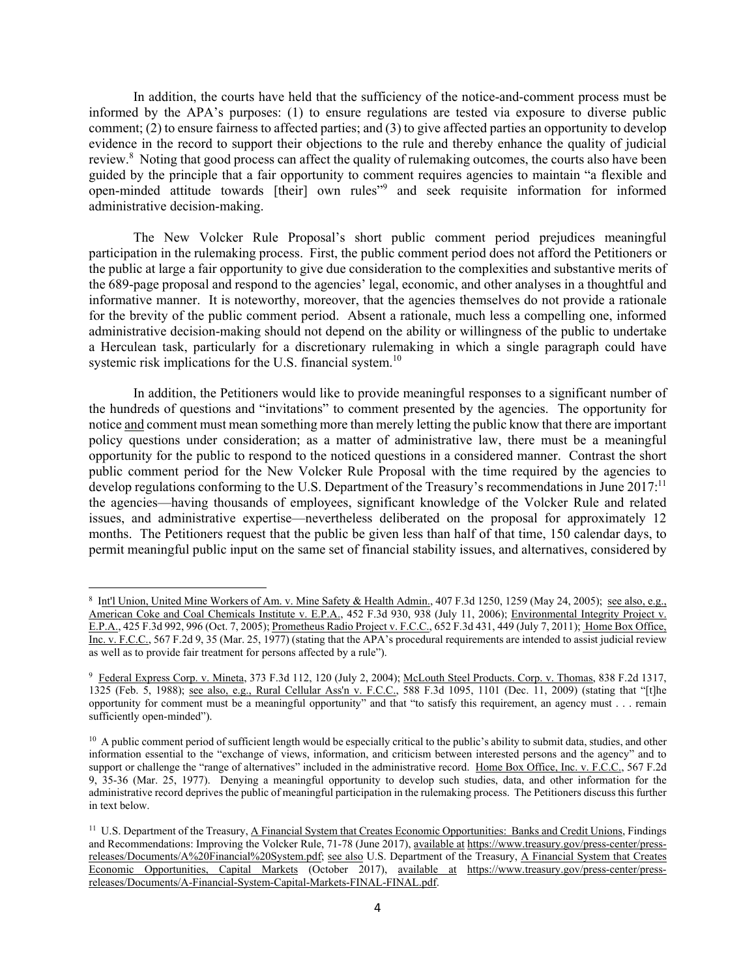In addition, the courts have held that the sufficiency of the notice-and-comment process must be informed by the APA's purposes: (1) to ensure regulations are tested via exposure to diverse public comment; (2) to ensure fairness to affected parties; and (3) to give affected parties an opportunity to develop evidence in the record to support their objections to the rule and thereby enhance the quality of judicial review.<sup>8</sup> Noting that good process can affect the quality of rulemaking outcomes, the courts also have been guided by the principle that a fair opportunity to comment requires agencies to maintain "a flexible and open-minded attitude towards [their] own rules"<sup>9</sup> and seek requisite information for informed administrative decision-making.

The New Volcker Rule Proposal's short public comment period prejudices meaningful participation in the rulemaking process. First, the public comment period does not afford the Petitioners or the public at large a fair opportunity to give due consideration to the complexities and substantive merits of the 689-page proposal and respond to the agencies' legal, economic, and other analyses in a thoughtful and informative manner. It is noteworthy, moreover, that the agencies themselves do not provide a rationale for the brevity of the public comment period. Absent a rationale, much less a compelling one, informed administrative decision-making should not depend on the ability or willingness of the public to undertake a Herculean task, particularly for a discretionary rulemaking in which a single paragraph could have systemic risk implications for the U.S. financial system.<sup>10</sup>

In addition, the Petitioners would like to provide meaningful responses to a significant number of the hundreds of questions and "invitations" to comment presented by the agencies. The opportunity for notice and comment must mean something more than merely letting the public know that there are important policy questions under consideration; as a matter of administrative law, there must be a meaningful opportunity for the public to respond to the noticed questions in a considered manner. Contrast the short public comment period for the New Volcker Rule Proposal with the time required by the agencies to develop regulations conforming to the U.S. Department of the Treasury's recommendations in June 2017:<sup>11</sup> the agencies—having thousands of employees, significant knowledge of the Volcker Rule and related issues, and administrative expertise—nevertheless deliberated on the proposal for approximately 12 months. The Petitioners request that the public be given less than half of that time, 150 calendar days, to permit meaningful public input on the same set of financial stability issues, and alternatives, considered by

<sup>8</sup> Int'l Union, United Mine Workers of Am. v. Mine Safety & Health Admin., 407 F.3d 1250, 1259 (May 24, 2005); see also, e.g., American Coke and Coal Chemicals Institute v. E.P.A., 452 F.3d 930, 938 (July 11, 2006); Environmental Integrity Project v. E.P.A., 425 F.3d 992, 996 (Oct. 7, 2005); Prometheus Radio Project v. F.C.C., 652 F.3d 431, 449 (July 7, 2011); Home Box Office, Inc. v. F.C.C., 567 F.2d 9, 35 (Mar. 25, 1977) (stating that the APA's procedural requirements are intended to assist judicial review as well as to provide fair treatment for persons affected by a rule").

<sup>9</sup> Federal Express Corp. v. Mineta, 373 F.3d 112, 120 (July 2, 2004); McLouth Steel Products. Corp. v. Thomas, 838 F.2d 1317, 1325 (Feb. 5, 1988); <u>see also, e.g., Rural Cellular Ass'n v. F.C.C.</u>, 588 F.3d 1095, 1101 (Dec. 11, 2009) (stating that "[t]he opportunity for comment must be a meaningful opportunity" and that "to satisfy this requirement, an agency must . . . remain sufficiently open-minded").

<sup>&</sup>lt;sup>10</sup> A public comment period of sufficient length would be especially critical to the public's ability to submit data, studies, and other information essential to the "exchange of views, information, and criticism between interested persons and the agency" and to support or challenge the "range of alternatives" included in the administrative record. Home Box Office, Inc. v. F.C.C., 567 F.2d 9, 35-36 (Mar. 25, 1977). Denying a meaningful opportunity to develop such studies, data, and other information for the administrative record deprives the public of meaningful participation in the rulemaking process. The Petitioners discuss this further in text below.

<sup>&</sup>lt;sup>11</sup> U.S. Department of the Treasury, A Financial System that Creates Economic Opportunities: Banks and Credit Unions, Findings and Recommendations: Improving the Volcker Rule, 71-78 (June 2017), available at https://www.treasury.gov/press-center/pressreleases/Documents/A%20Financial%20System.pdf; see also U.S. Department of the Treasury, A Financial System that Creates Economic Opportunities, Capital Markets (October 2017), available at https://www.treasury.gov/press-center/pressreleases/Documents/A-Financial-System-Capital-Markets-FINAL-FINAL.pdf.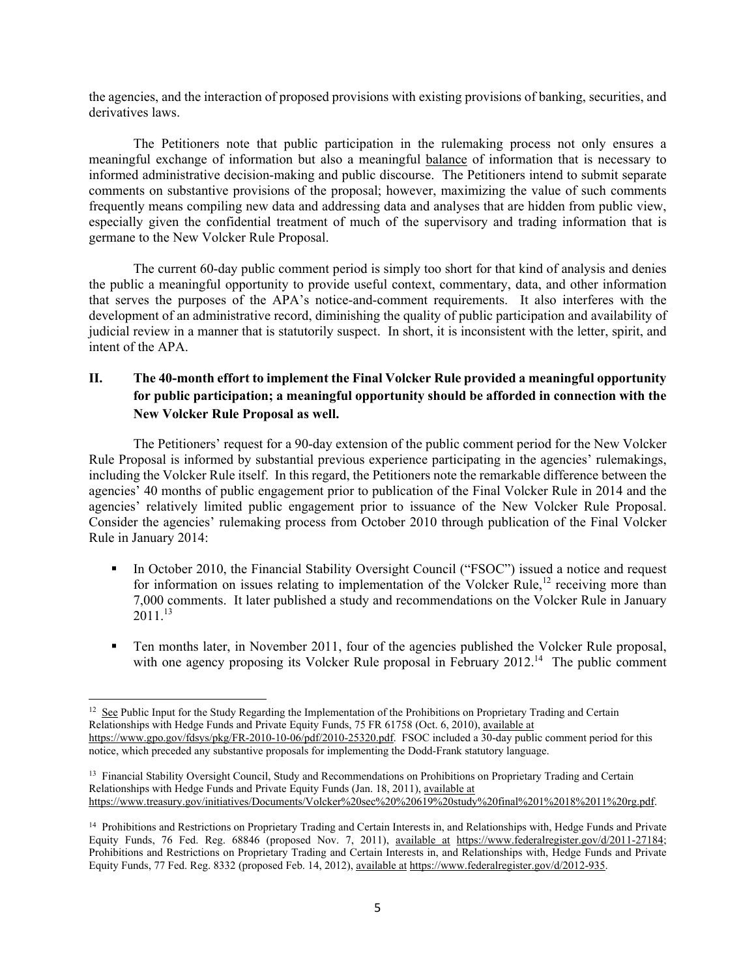the agencies, and the interaction of proposed provisions with existing provisions of banking, securities, and derivatives laws.

The Petitioners note that public participation in the rulemaking process not only ensures a meaningful exchange of information but also a meaningful balance of information that is necessary to informed administrative decision-making and public discourse. The Petitioners intend to submit separate comments on substantive provisions of the proposal; however, maximizing the value of such comments frequently means compiling new data and addressing data and analyses that are hidden from public view, especially given the confidential treatment of much of the supervisory and trading information that is germane to the New Volcker Rule Proposal.

The current 60-day public comment period is simply too short for that kind of analysis and denies the public a meaningful opportunity to provide useful context, commentary, data, and other information that serves the purposes of the APA's notice-and-comment requirements. It also interferes with the development of an administrative record, diminishing the quality of public participation and availability of judicial review in a manner that is statutorily suspect. In short, it is inconsistent with the letter, spirit, and intent of the APA.

## **II. The 40-month effort to implement the Final Volcker Rule provided a meaningful opportunity for public participation; a meaningful opportunity should be afforded in connection with the New Volcker Rule Proposal as well.**

The Petitioners' request for a 90-day extension of the public comment period for the New Volcker Rule Proposal is informed by substantial previous experience participating in the agencies' rulemakings, including the Volcker Rule itself. In this regard, the Petitioners note the remarkable difference between the agencies' 40 months of public engagement prior to publication of the Final Volcker Rule in 2014 and the agencies' relatively limited public engagement prior to issuance of the New Volcker Rule Proposal. Consider the agencies' rulemaking process from October 2010 through publication of the Final Volcker Rule in January 2014:

- In October 2010, the Financial Stability Oversight Council ("FSOC") issued a notice and request for information on issues relating to implementation of the Volcker Rule,<sup>12</sup> receiving more than 7,000 comments. It later published a study and recommendations on the Volcker Rule in January  $2011^{13}$
- Ten months later, in November 2011, four of the agencies published the Volcker Rule proposal, with one agency proposing its Volcker Rule proposal in February 2012.<sup>14</sup> The public comment

 $12 \text{ See }$  Public Input for the Study Regarding the Implementation of the Prohibitions on Proprietary Trading and Certain Relationships with Hedge Funds and Private Equity Funds, 75 FR 61758 (Oct. 6, 2010), available at https://www.gpo.gov/fdsys/pkg/FR-2010-10-06/pdf/2010-25320.pdf. FSOC included a 30-day public comment period for this notice, which preceded any substantive proposals for implementing the Dodd-Frank statutory language.

<sup>&</sup>lt;sup>13</sup> Financial Stability Oversight Council, Study and Recommendations on Prohibitions on Proprietary Trading and Certain Relationships with Hedge Funds and Private Equity Funds (Jan. 18, 2011), available at https://www.treasury.gov/initiatives/Documents/Volcker%20sec%20%20619%20study%20final%201%2018%2011%20rg.pdf.

<sup>&</sup>lt;sup>14</sup> Prohibitions and Restrictions on Proprietary Trading and Certain Interests in, and Relationships with, Hedge Funds and Private Equity Funds, 76 Fed. Reg. 68846 (proposed Nov. 7, 2011), available at https://www.federalregister.gov/d/2011-27184; Prohibitions and Restrictions on Proprietary Trading and Certain Interests in, and Relationships with, Hedge Funds and Private Equity Funds, 77 Fed. Reg. 8332 (proposed Feb. 14, 2012), available at https://www.federalregister.gov/d/2012-935.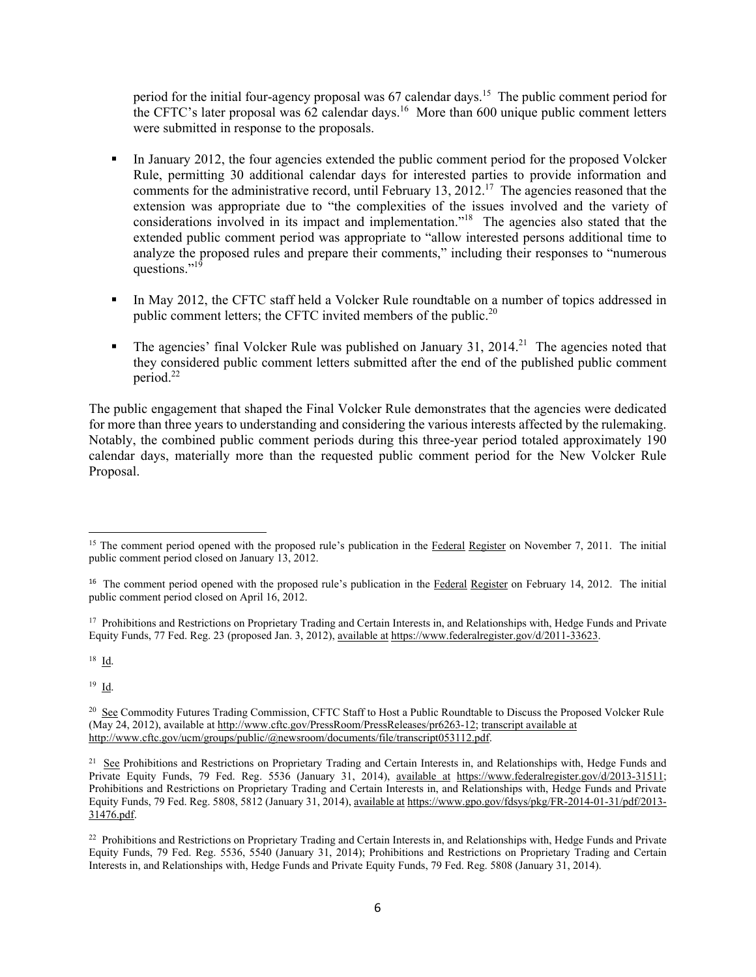period for the initial four-agency proposal was  $67$  calendar days.<sup>15</sup> The public comment period for the CFTC's later proposal was  $62$  calendar days.<sup>16</sup> More than  $600$  unique public comment letters were submitted in response to the proposals.

- In January 2012, the four agencies extended the public comment period for the proposed Volcker Rule, permitting 30 additional calendar days for interested parties to provide information and comments for the administrative record, until February 13, 2012.<sup>17</sup> The agencies reasoned that the extension was appropriate due to "the complexities of the issues involved and the variety of considerations involved in its impact and implementation."<sup>18</sup> The agencies also stated that the extended public comment period was appropriate to "allow interested persons additional time to analyze the proposed rules and prepare their comments," including their responses to "numerous questions." $19$
- In May 2012, the CFTC staff held a Volcker Rule roundtable on a number of topics addressed in public comment letters; the CFTC invited members of the public.<sup>20</sup>
- The agencies' final Volcker Rule was published on January 31, 2014.<sup>21</sup> The agencies noted that they considered public comment letters submitted after the end of the published public comment period.<sup>22</sup>

The public engagement that shaped the Final Volcker Rule demonstrates that the agencies were dedicated for more than three years to understanding and considering the various interests affected by the rulemaking. Notably, the combined public comment periods during this three-year period totaled approximately 190 calendar days, materially more than the requested public comment period for the New Volcker Rule Proposal.

<sup>17</sup> Prohibitions and Restrictions on Proprietary Trading and Certain Interests in, and Relationships with, Hedge Funds and Private Equity Funds, 77 Fed. Reg. 23 (proposed Jan. 3, 2012), available at https://www.federalregister.gov/d/2011-33623.

18 Id.

19 Id.

<sup>&</sup>lt;sup>15</sup> The comment period opened with the proposed rule's publication in the Federal Register on November 7, 2011. The initial public comment period closed on January 13, 2012.

<sup>&</sup>lt;sup>16</sup> The comment period opened with the proposed rule's publication in the Federal Register on February 14, 2012. The initial public comment period closed on April 16, 2012.

<sup>&</sup>lt;sup>20</sup> See Commodity Futures Trading Commission, CFTC Staff to Host a Public Roundtable to Discuss the Proposed Volcker Rule (May 24, 2012), available at http://www.cftc.gov/PressRoom/PressReleases/pr6263-12; transcript available at http://www.cftc.gov/ucm/groups/public/@newsroom/documents/file/transcript053112.pdf.

<sup>&</sup>lt;sup>21</sup> See Prohibitions and Restrictions on Proprietary Trading and Certain Interests in, and Relationships with, Hedge Funds and Private Equity Funds, 79 Fed. Reg. 5536 (January 31, 2014), available at https://www.federalregister.gov/d/2013-31511; Prohibitions and Restrictions on Proprietary Trading and Certain Interests in, and Relationships with, Hedge Funds and Private Equity Funds, 79 Fed. Reg. 5808, 5812 (January 31, 2014), available at https://www.gpo.gov/fdsys/pkg/FR-2014-01-31/pdf/2013- 31476.pdf.

<sup>&</sup>lt;sup>22</sup> Prohibitions and Restrictions on Proprietary Trading and Certain Interests in, and Relationships with, Hedge Funds and Private Equity Funds, 79 Fed. Reg. 5536, 5540 (January 31, 2014); Prohibitions and Restrictions on Proprietary Trading and Certain Interests in, and Relationships with, Hedge Funds and Private Equity Funds, 79 Fed. Reg. 5808 (January 31, 2014).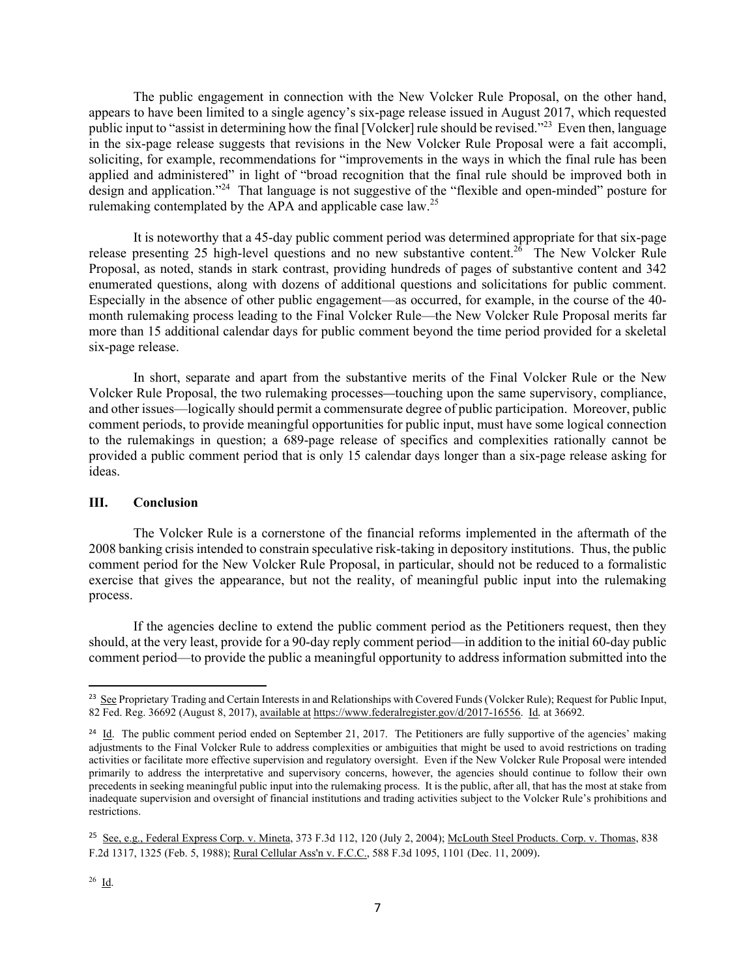The public engagement in connection with the New Volcker Rule Proposal, on the other hand, appears to have been limited to a single agency's six-page release issued in August 2017, which requested public input to "assist in determining how the final [Volcker] rule should be revised."<sup>23</sup> Even then, language in the six-page release suggests that revisions in the New Volcker Rule Proposal were a fait accompli, soliciting, for example, recommendations for "improvements in the ways in which the final rule has been applied and administered" in light of "broad recognition that the final rule should be improved both in design and application."<sup>24</sup> That language is not suggestive of the "flexible and open-minded" posture for rulemaking contemplated by the APA and applicable case law.25

It is noteworthy that a 45-day public comment period was determined appropriate for that six-page release presenting 25 high-level questions and no new substantive content.<sup>26</sup> The New Volcker Rule Proposal, as noted, stands in stark contrast, providing hundreds of pages of substantive content and 342 enumerated questions, along with dozens of additional questions and solicitations for public comment. Especially in the absence of other public engagement—as occurred, for example, in the course of the 40 month rulemaking process leading to the Final Volcker Rule—the New Volcker Rule Proposal merits far more than 15 additional calendar days for public comment beyond the time period provided for a skeletal six-page release.

In short, separate and apart from the substantive merits of the Final Volcker Rule or the New Volcker Rule Proposal, the two rulemaking processes*—*touching upon the same supervisory, compliance, and other issues—logically should permit a commensurate degree of public participation. Moreover, public comment periods, to provide meaningful opportunities for public input, must have some logical connection to the rulemakings in question; a 689-page release of specifics and complexities rationally cannot be provided a public comment period that is only 15 calendar days longer than a six-page release asking for ideas.

#### **III. Conclusion**

The Volcker Rule is a cornerstone of the financial reforms implemented in the aftermath of the 2008 banking crisis intended to constrain speculative risk-taking in depository institutions. Thus, the public comment period for the New Volcker Rule Proposal, in particular, should not be reduced to a formalistic exercise that gives the appearance, but not the reality, of meaningful public input into the rulemaking process.

If the agencies decline to extend the public comment period as the Petitioners request, then they should, at the very least, provide for a 90-day reply comment period—in addition to the initial 60-day public comment period—to provide the public a meaningful opportunity to address information submitted into the

<sup>&</sup>lt;sup>23</sup> See Proprietary Trading and Certain Interests in and Relationships with Covered Funds (Volcker Rule); Request for Public Input, 82 Fed. Reg. 36692 (August 8, 2017), available at https://www.federalregister.gov/d/2017-16556. Id*.* at 36692.

<sup>&</sup>lt;sup>24</sup> Id. The public comment period ended on September 21, 2017. The Petitioners are fully supportive of the agencies' making adjustments to the Final Volcker Rule to address complexities or ambiguities that might be used to avoid restrictions on trading activities or facilitate more effective supervision and regulatory oversight. Even if the New Volcker Rule Proposal were intended primarily to address the interpretative and supervisory concerns, however, the agencies should continue to follow their own precedents in seeking meaningful public input into the rulemaking process. It is the public, after all, that has the most at stake from inadequate supervision and oversight of financial institutions and trading activities subject to the Volcker Rule's prohibitions and restrictions.

<sup>&</sup>lt;sup>25</sup> See, e.g., Federal Express Corp. v. Mineta, 373 F.3d 112, 120 (July 2, 2004); McLouth Steel Products. Corp. v. Thomas, 838 F.2d 1317, 1325 (Feb. 5, 1988); Rural Cellular Ass'n v. F.C.C., 588 F.3d 1095, 1101 (Dec. 11, 2009).